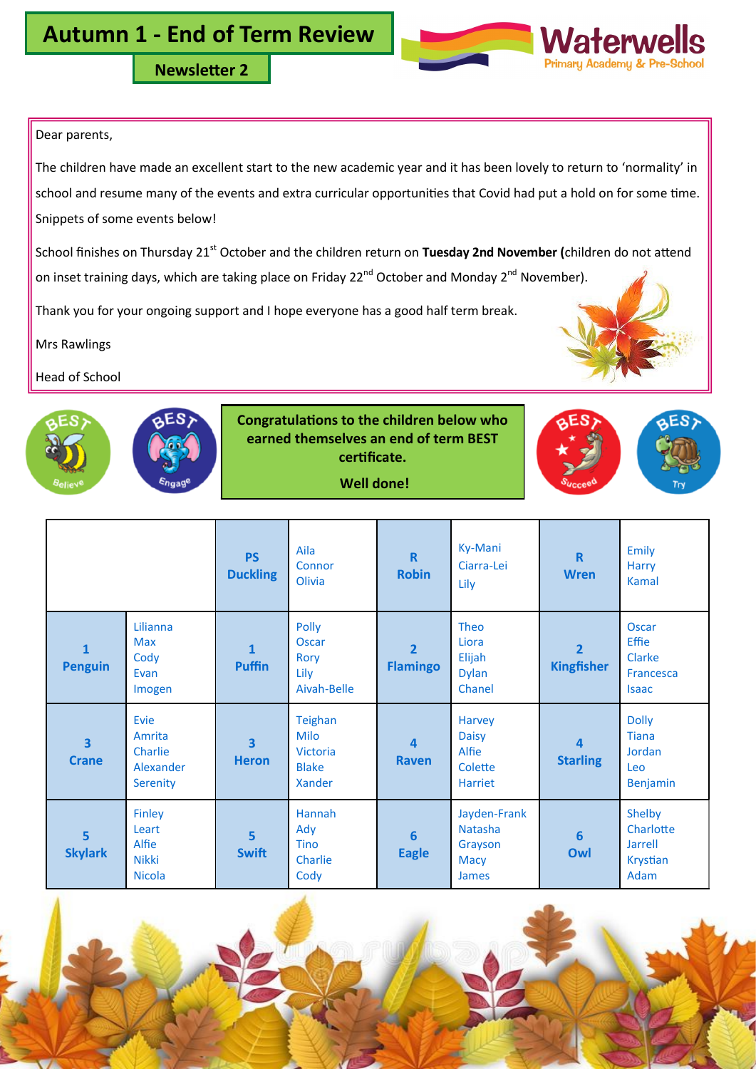**Newsletter 2**

## Dear parents,

The children have made an excellent start to the new academic year and it has been lovely to return to 'normality' in school and resume many of the events and extra curricular opportunities that Covid had put a hold on for some time. Snippets of some events below!

School finishes on Thursday 21<sup>st</sup> October and the children return on Tuesday 2nd November (children do not attend on inset training days, which are taking place on Friday 22<sup>nd</sup> October and Monday 2<sup>nd</sup> November).

Thank you for your ongoing support and I hope everyone has a good half term break.

Mrs Rawlings

Head of School



**Congratulations to the children below who earned themselves an end of term BEST certificate.**

# **Well done!**

|                                         |                                                                  | <b>PS</b><br><b>Duckling</b>            | Aila<br>Connor<br>Olivia                              | $\mathbf R$<br><b>Robin</b>             | Ky-Mani<br>Ciarra-Lei<br>Lily                                            | $\mathbf R$<br><b>Wren</b>          | Emily<br><b>Harry</b><br><b>Kamal</b>                                      |
|-----------------------------------------|------------------------------------------------------------------|-----------------------------------------|-------------------------------------------------------|-----------------------------------------|--------------------------------------------------------------------------|-------------------------------------|----------------------------------------------------------------------------|
| $\mathbf{1}$<br><b>Penguin</b>          | Lilianna<br><b>Max</b><br>Cody<br>Evan<br>Imogen                 | $\mathbf{1}$<br><b>Puffin</b>           | Polly<br><b>Oscar</b><br>Rory<br>Lily<br>Aivah-Belle  | $\overline{2}$<br><b>Flamingo</b>       | Theo<br>Liora<br>Elijah<br><b>Dylan</b><br>Chanel                        | $\overline{2}$<br><b>Kingfisher</b> | Oscar<br><b>Effie</b><br><b>Clarke</b><br><b>Francesca</b><br><b>Isaac</b> |
| $\overline{\mathbf{3}}$<br><b>Crane</b> | Evie<br>Amrita<br>Charlie<br>Alexander<br>Serenity               | $\overline{\mathbf{3}}$<br><b>Heron</b> | Teighan<br>Milo<br>Victoria<br><b>Blake</b><br>Xander | $\overline{\mathbf{4}}$<br><b>Raven</b> | Harvey<br><b>Daisy</b><br>Alfie<br>Colette<br><b>Harriet</b>             | 4<br><b>Starling</b>                | <b>Dolly</b><br><b>Tiana</b><br>Jordan<br>Leo<br><b>Benjamin</b>           |
| $\overline{5}$<br><b>Skylark</b>        | <b>Finley</b><br>Leart<br>Alfie<br><b>Nikki</b><br><b>Nicola</b> | $\overline{5}$<br><b>Swift</b>          | Hannah<br>Ady<br><b>Tino</b><br>Charlie<br>Cody       | $6\phantom{1}6$<br><b>Eagle</b>         | Jayden-Frank<br><b>Natasha</b><br>Grayson<br><b>Macy</b><br><b>James</b> | $6\phantom{1}6$<br>Owl              | Shelby<br>Charlotte<br>Jarrell<br>Krystian<br>Adam                         |